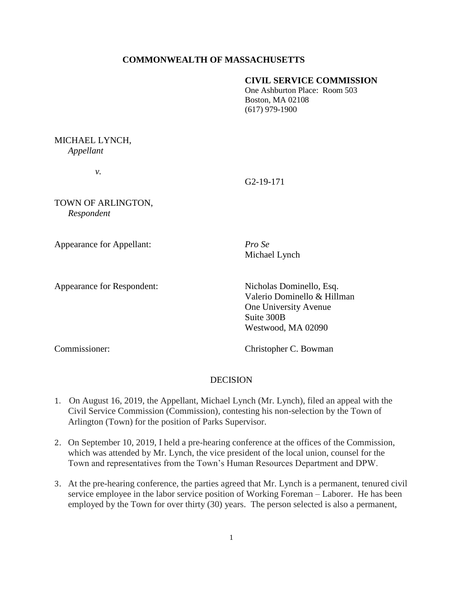# **COMMONWEALTH OF MASSACHUSETTS**

#### **CIVIL SERVICE COMMISSION**

One Ashburton Place: Room 503 Boston, MA 02108 (617) 979-1900

## MICHAEL LYNCH, *Appellant*

*v.*

## G2-19-171

TOWN OF ARLINGTON, *Respondent* 

Appearance for Appellant: *Pro Se*

Michael Lynch

Appearance for Respondent: Nicholas Dominello, Esq. Valerio Dominello & Hillman One University Avenue Suite 300B Westwood, MA 02090

Commissioner: Christopher C. Bowman

# DECISION

- 1. On August 16, 2019, the Appellant, Michael Lynch (Mr. Lynch), filed an appeal with the Civil Service Commission (Commission), contesting his non-selection by the Town of Arlington (Town) for the position of Parks Supervisor.
- 2. On September 10, 2019, I held a pre-hearing conference at the offices of the Commission, which was attended by Mr. Lynch, the vice president of the local union, counsel for the Town and representatives from the Town's Human Resources Department and DPW.
- 3. At the pre-hearing conference, the parties agreed that Mr. Lynch is a permanent, tenured civil service employee in the labor service position of Working Foreman – Laborer. He has been employed by the Town for over thirty (30) years. The person selected is also a permanent,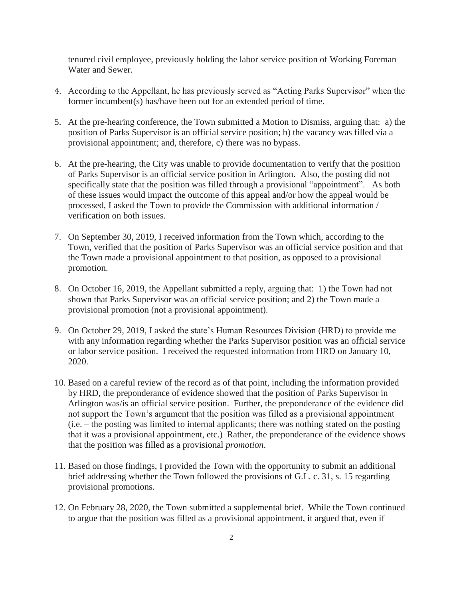tenured civil employee, previously holding the labor service position of Working Foreman – Water and Sewer.

- 4. According to the Appellant, he has previously served as "Acting Parks Supervisor" when the former incumbent(s) has/have been out for an extended period of time.
- 5. At the pre-hearing conference, the Town submitted a Motion to Dismiss, arguing that: a) the position of Parks Supervisor is an official service position; b) the vacancy was filled via a provisional appointment; and, therefore, c) there was no bypass.
- 6. At the pre-hearing, the City was unable to provide documentation to verify that the position of Parks Supervisor is an official service position in Arlington. Also, the posting did not specifically state that the position was filled through a provisional "appointment". As both of these issues would impact the outcome of this appeal and/or how the appeal would be processed, I asked the Town to provide the Commission with additional information / verification on both issues.
- 7. On September 30, 2019, I received information from the Town which, according to the Town, verified that the position of Parks Supervisor was an official service position and that the Town made a provisional appointment to that position, as opposed to a provisional promotion.
- 8. On October 16, 2019, the Appellant submitted a reply, arguing that: 1) the Town had not shown that Parks Supervisor was an official service position; and 2) the Town made a provisional promotion (not a provisional appointment).
- 9. On October 29, 2019, I asked the state's Human Resources Division (HRD) to provide me with any information regarding whether the Parks Supervisor position was an official service or labor service position. I received the requested information from HRD on January 10, 2020.
- 10. Based on a careful review of the record as of that point, including the information provided by HRD, the preponderance of evidence showed that the position of Parks Supervisor in Arlington was/is an official service position. Further, the preponderance of the evidence did not support the Town's argument that the position was filled as a provisional appointment (i.e. – the posting was limited to internal applicants; there was nothing stated on the posting that it was a provisional appointment, etc.) Rather, the preponderance of the evidence shows that the position was filled as a provisional *promotion*.
- 11. Based on those findings, I provided the Town with the opportunity to submit an additional brief addressing whether the Town followed the provisions of G.L. c. 31, s. 15 regarding provisional promotions.
- 12. On February 28, 2020, the Town submitted a supplemental brief. While the Town continued to argue that the position was filled as a provisional appointment, it argued that, even if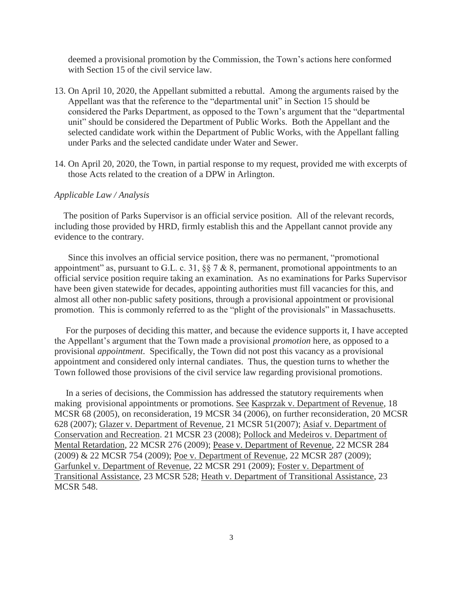deemed a provisional promotion by the Commission, the Town's actions here conformed with Section 15 of the civil service law.

- 13. On April 10, 2020, the Appellant submitted a rebuttal. Among the arguments raised by the Appellant was that the reference to the "departmental unit" in Section 15 should be considered the Parks Department, as opposed to the Town's argument that the "departmental unit" should be considered the Department of Public Works. Both the Appellant and the selected candidate work within the Department of Public Works, with the Appellant falling under Parks and the selected candidate under Water and Sewer.
- 14. On April 20, 2020, the Town, in partial response to my request, provided me with excerpts of those Acts related to the creation of a DPW in Arlington.

#### *Applicable Law / Analysis*

 The position of Parks Supervisor is an official service position. All of the relevant records, including those provided by HRD, firmly establish this and the Appellant cannot provide any evidence to the contrary.

 Since this involves an official service position, there was no permanent, "promotional appointment" as, pursuant to G.L. c. 31,  $\S$  7 & 8, permanent, promotional appointments to an official service position require taking an examination. As no examinations for Parks Supervisor have been given statewide for decades, appointing authorities must fill vacancies for this, and almost all other non-public safety positions, through a provisional appointment or provisional promotion. This is commonly referred to as the "plight of the provisionals" in Massachusetts.

 For the purposes of deciding this matter, and because the evidence supports it, I have accepted the Appellant's argument that the Town made a provisional *promotion* here, as opposed to a provisional *appointment*. Specifically, the Town did not post this vacancy as a provisional appointment and considered only internal candiates. Thus, the question turns to whether the Town followed those provisions of the civil service law regarding provisional promotions.

 In a series of decisions, the Commission has addressed the statutory requirements when making provisional appointments or promotions. See Kasprzak v. Department of Revenue, 18 MCSR 68 (2005), on reconsideration, 19 MCSR 34 (2006), on further reconsideration, 20 MCSR 628 (2007); Glazer v. Department of Revenue, 21 MCSR 51(2007); Asiaf v. Department of Conservation and Recreation. 21 MCSR 23 (2008); Pollock and Medeiros v. Department of Mental Retardation, 22 MCSR 276 (2009); Pease v. Department of Revenue, 22 MCSR 284 (2009) & 22 MCSR 754 (2009); Poe v. Department of Revenue, 22 MCSR 287 (2009); Garfunkel v. Department of Revenue, 22 MCSR 291 (2009); Foster v. Department of Transitional Assistance, 23 MCSR 528; Heath v. Department of Transitional Assistance, 23 MCSR 548.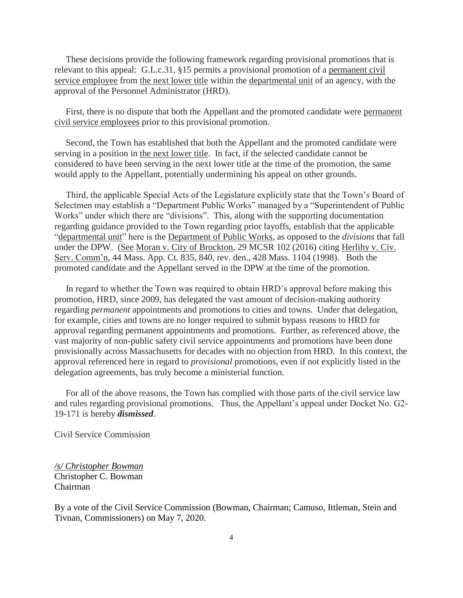These decisions provide the following framework regarding provisional promotions that is relevant to this appeal: G.L.c.31, §15 permits a provisional promotion of a permanent civil service employee from the next lower title within the departmental unit of an agency, with the approval of the Personnel Administrator (HRD).

 First, there is no dispute that both the Appellant and the promoted candidate were permanent civil service employees prior to this provisional promotion.

 Second, the Town has established that both the Appellant and the promoted candidate were serving in a position in the next lower title. In fact, if the selected candidate cannot be considered to have been serving in the next lower title at the time of the promotion, the same would apply to the Appellant, potentially undermining his appeal on other grounds.

 Third, the applicable Special Acts of the Legislature explicitly state that the Town's Board of Selectmen may establish a "Department Public Works" managed by a "Superintendent of Public Works" under which there are "divisions". This, along with the supporting documentation regarding guidance provided to the Town regarding prior layoffs, establish that the applicable "departmental unit" here is the Department of Public Works, as opposed to the *divisions* that fall under the DPW. (See Moran v. City of Brockton, 29 MCSR 102 (2016) citing Herlihy v. Civ. Serv. Comm'n, 44 Mass. App. Ct. 835, 840, rev. den., 428 Mass. 1104 (1998). Both the promoted candidate and the Appellant served in the DPW at the time of the promotion.

 In regard to whether the Town was required to obtain HRD's approval before making this promotion, HRD, since 2009, has delegated the vast amount of decision-making authority regarding *permanent* appointments and promotions to cities and towns. Under that delegation, for example, cities and towns are no longer required to submit bypass reasons to HRD for approval regarding permanent appointments and promotions. Further, as referenced above, the vast majority of non-public safety civil service appointments and promotions have been done provisionally across Massachusetts for decades with no objection from HRD. In this context, the approval referenced here in regard to *provisional* promotions, even if not explicitly listed in the delegation agreements, has truly become a ministerial function.

 For all of the above reasons, the Town has complied with those parts of the civil service law and rules regarding provisional promotions. Thus, the Appellant's appeal under Docket No. G2- 19-171 is hereby *dismissed*.

Civil Service Commission

*/s/ Christopher Bowman* Christopher C. Bowman Chairman

By a vote of the Civil Service Commission (Bowman, Chairman; Camuso, Ittleman, Stein and Tivnan, Commissioners) on May 7, 2020.